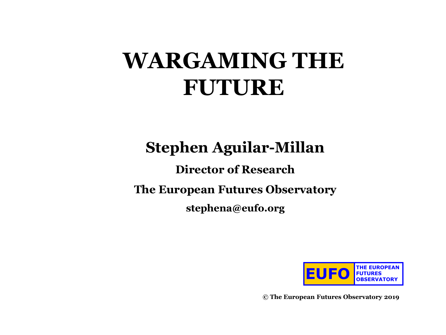# **WARGAMING THE FUTURE**

### **Stephen Aguilar-Millan**

#### **Director of Research**

**The European Futures Observatory**

**stephena@eufo.org**

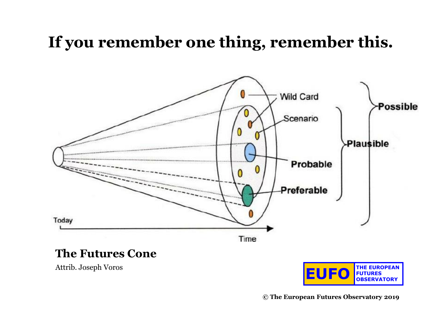### **If you remember one thing, remember this.**



#### **The Futures Cone**

Attrib. Joseph Voros

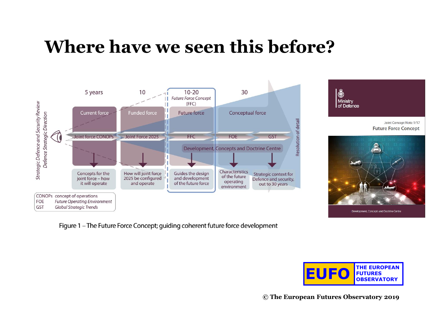## **Where have we seen this before?**



Figure 1 - The Future Force Concept; guiding coherent future force development



8

Ministry

of Defence

**© The European Futures Observatory 2019**

Joint Concept Note 1/17

**Future Force Concept** 

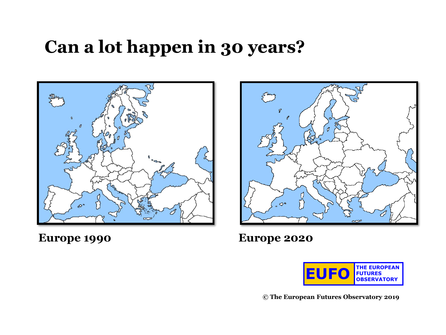## **Can a lot happen in 30 years?**





**Europe 1990 Europe 2020**